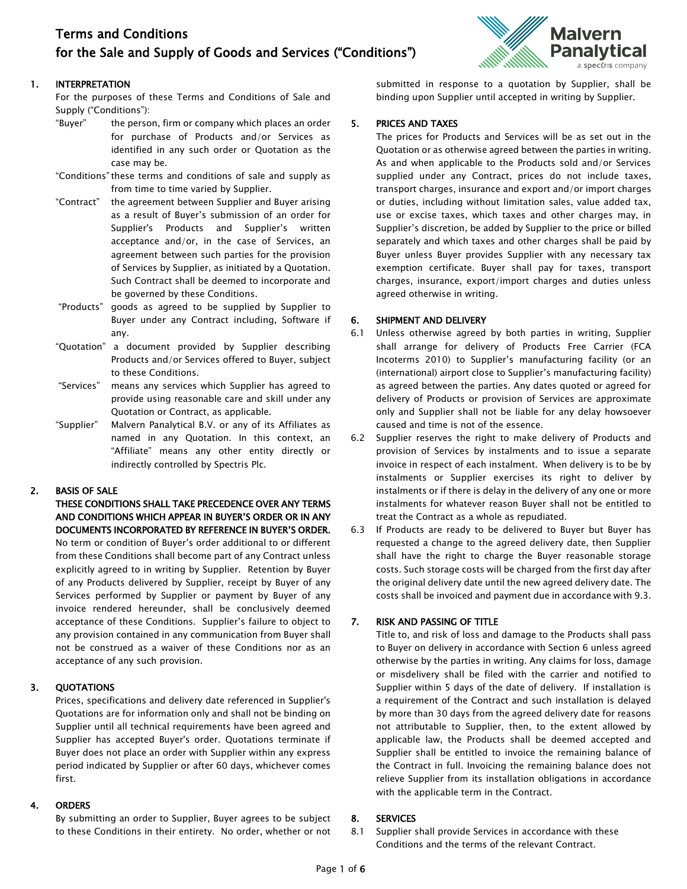# Terms and Conditions for the Sale and Supply of Goods and Services ("Conditions")

# 1. INTERPRETATION

For the purposes of these Terms and Conditions of Sale and Supply ("Conditions"):

- "Buyer" the person, firm or company which places an order for purchase of Products and/or Services as identified in any such order or Quotation as the case may be.
- "Conditions"these terms and conditions of sale and supply as from time to time varied by Supplier.
- "Contract" the agreement between Supplier and Buyer arising as a result of Buyer's submission of an order for Supplier's Products and Supplier's written acceptance and/or, in the case of Services, an agreement between such parties for the provision of Services by Supplier, as initiated by a Quotation. Such Contract shall be deemed to incorporate and be governed by these Conditions.
- "Products" goods as agreed to be supplied by Supplier to Buyer under any Contract including, Software if any.
- "Quotation" a document provided by Supplier describing Products and/or Services offered to Buyer, subject to these Conditions.
- "Services" means any services which Supplier has agreed to provide using reasonable care and skill under any Quotation or Contract, as applicable.
- "Supplier" Malvern Panalytical B.V. or any of its Affiliates as named in any Quotation. In this context, an "Affiliate" means any other entity directly or indirectly controlled by Spectris Plc.

# 2. BASIS OF SALE

THESE CONDITIONS SHALL TAKE PRECEDENCE OVER ANY TERMS AND CONDITIONS WHICH APPEAR IN BUYER'S ORDER OR IN ANY DOCUMENTS INCORPORATED BY REFERENCE IN BUYER'S ORDER. No term or condition of Buyer's order additional to or different from these Conditions shall become part of any Contract unless explicitly agreed to in writing by Supplier. Retention by Buyer of any Products delivered by Supplier, receipt by Buyer of any Services performed by Supplier or payment by Buyer of any invoice rendered hereunder, shall be conclusively deemed acceptance of these Conditions. Supplier's failure to object to any provision contained in any communication from Buyer shall not be construed as a waiver of these Conditions nor as an acceptance of any such provision.

# 3. QUOTATIONS

Prices, specifications and delivery date referenced in Supplier's Quotations are for information only and shall not be binding on Supplier until all technical requirements have been agreed and Supplier has accepted Buyer's order. Quotations terminate if Buyer does not place an order with Supplier within any express period indicated by Supplier or after 60 days, whichever comes first.

# 4. ORDERS

By submitting an order to Supplier, Buyer agrees to be subject to these Conditions in their entirety. No order, whether or not



submitted in response to a quotation by Supplier, shall be binding upon Supplier until accepted in writing by Supplier.

# 5. PRICES AND TAXES

The prices for Products and Services will be as set out in the Quotation or as otherwise agreed between the parties in writing. As and when applicable to the Products sold and/or Services supplied under any Contract, prices do not include taxes, transport charges, insurance and export and/or import charges or duties, including without limitation sales, value added tax, use or excise taxes, which taxes and other charges may, in Supplier's discretion, be added by Supplier to the price or billed separately and which taxes and other charges shall be paid by Buyer unless Buyer provides Supplier with any necessary tax exemption certificate. Buyer shall pay for taxes, transport charges, insurance, export/import charges and duties unless agreed otherwise in writing.

# 6. SHIPMENT AND DELIVERY

- 6.1 Unless otherwise agreed by both parties in writing, Supplier shall arrange for delivery of Products Free Carrier (FCA Incoterms 2010) to Supplier's manufacturing facility (or an (international) airport close to Supplier's manufacturing facility) as agreed between the parties. Any dates quoted or agreed for delivery of Products or provision of Services are approximate only and Supplier shall not be liable for any delay howsoever caused and time is not of the essence.
- 6.2 Supplier reserves the right to make delivery of Products and provision of Services by instalments and to issue a separate invoice in respect of each instalment. When delivery is to be by instalments or Supplier exercises its right to deliver by instalments or if there is delay in the delivery of any one or more instalments for whatever reason Buyer shall not be entitled to treat the Contract as a whole as repudiated.
- 6.3 If Products are ready to be delivered to Buyer but Buyer has requested a change to the agreed delivery date, then Supplier shall have the right to charge the Buyer reasonable storage costs. Such storage costs will be charged from the first day after the original delivery date until the new agreed delivery date. The costs shall be invoiced and payment due in accordance with 9.3.

# 7. RISK AND PASSING OF TITLE

Title to, and risk of loss and damage to the Products shall pass to Buyer on delivery in accordance with Section 6 unless agreed otherwise by the parties in writing. Any claims for loss, damage or misdelivery shall be filed with the carrier and notified to Supplier within 5 days of the date of delivery. If installation is a requirement of the Contract and such installation is delayed by more than 30 days from the agreed delivery date for reasons not attributable to Supplier, then, to the extent allowed by applicable law, the Products shall be deemed accepted and Supplier shall be entitled to invoice the remaining balance of the Contract in full. Invoicing the remaining balance does not relieve Supplier from its installation obligations in accordance with the applicable term in the Contract.

# 8. SERVICES

8.1 Supplier shall provide Services in accordance with these Conditions and the terms of the relevant Contract.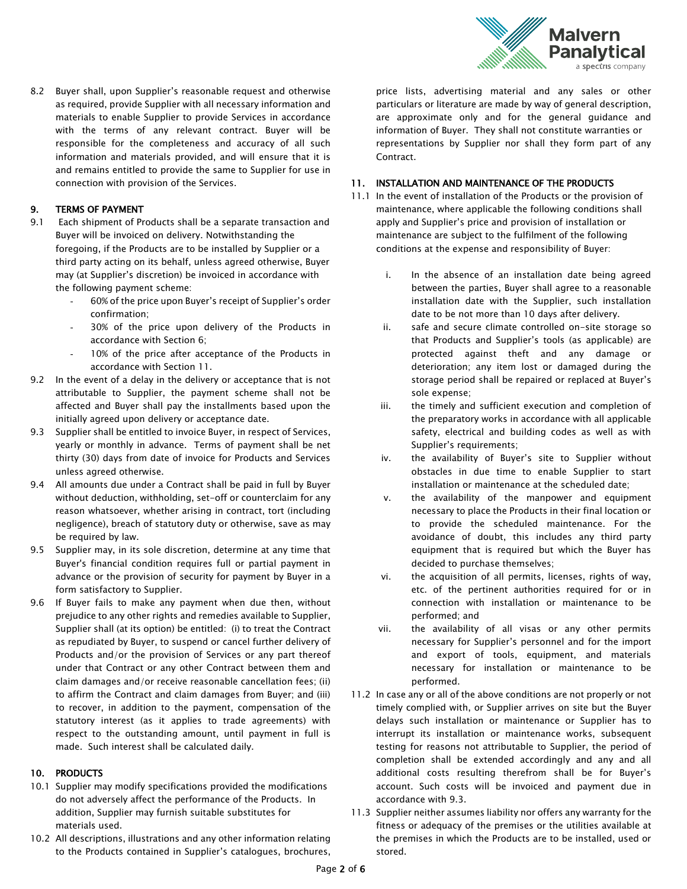

8.2 Buyer shall, upon Supplier's reasonable request and otherwise as required, provide Supplier with all necessary information and materials to enable Supplier to provide Services in accordance with the terms of any relevant contract. Buyer will be responsible for the completeness and accuracy of all such information and materials provided, and will ensure that it is and remains entitled to provide the same to Supplier for use in connection with provision of the Services.

# 9. TERMS OF PAYMENT

- 9.1 Each shipment of Products shall be a separate transaction and Buyer will be invoiced on delivery. Notwithstanding the foregoing, if the Products are to be installed by Supplier or a third party acting on its behalf, unless agreed otherwise, Buyer may (at Supplier's discretion) be invoiced in accordance with the following payment scheme:
	- 60% of the price upon Buyer's receipt of Supplier's order confirmation;
	- 30% of the price upon delivery of the Products in accordance with Section 6;
	- 10% of the price after acceptance of the Products in accordance with Section 11.
- 9.2 In the event of a delay in the delivery or acceptance that is not attributable to Supplier, the payment scheme shall not be affected and Buyer shall pay the installments based upon the initially agreed upon delivery or acceptance date.
- 9.3 Supplier shall be entitled to invoice Buyer, in respect of Services, yearly or monthly in advance. Terms of payment shall be net thirty (30) days from date of invoice for Products and Services unless agreed otherwise.
- 9.4 All amounts due under a Contract shall be paid in full by Buyer without deduction, withholding, set-off or counterclaim for any reason whatsoever, whether arising in contract, tort (including negligence), breach of statutory duty or otherwise, save as may be required by law.
- 9.5 Supplier may, in its sole discretion, determine at any time that Buyer's financial condition requires full or partial payment in advance or the provision of security for payment by Buyer in a form satisfactory to Supplier.
- 9.6 If Buyer fails to make any payment when due then, without prejudice to any other rights and remedies available to Supplier, Supplier shall (at its option) be entitled: (i) to treat the Contract as repudiated by Buyer, to suspend or cancel further delivery of Products and/or the provision of Services or any part thereof under that Contract or any other Contract between them and claim damages and/or receive reasonable cancellation fees; (ii) to affirm the Contract and claim damages from Buyer; and (iii) to recover, in addition to the payment, compensation of the statutory interest (as it applies to trade agreements) with respect to the outstanding amount, until payment in full is made. Such interest shall be calculated daily.

# 10. PRODUCTS

- 10.1 Supplier may modify specifications provided the modifications do not adversely affect the performance of the Products. In addition, Supplier may furnish suitable substitutes for materials used.
- 10.2 All descriptions, illustrations and any other information relating to the Products contained in Supplier's catalogues, brochures,

price lists, advertising material and any sales or other particulars or literature are made by way of general description, are approximate only and for the general guidance and information of Buyer. They shall not constitute warranties or representations by Supplier nor shall they form part of any Contract.

# 11. INSTALLATION AND MAINTENANCE OF THE PRODUCTS

- 11.1 In the event of installation of the Products or the provision of maintenance, where applicable the following conditions shall apply and Supplier's price and provision of installation or maintenance are subject to the fulfilment of the following conditions at the expense and responsibility of Buyer:
	- i. In the absence of an installation date being agreed between the parties, Buyer shall agree to a reasonable installation date with the Supplier, such installation date to be not more than 10 days after delivery.
	- ii. safe and secure climate controlled on-site storage so that Products and Supplier's tools (as applicable) are protected against theft and any damage or deterioration; any item lost or damaged during the storage period shall be repaired or replaced at Buyer's sole expense;
	- iii. the timely and sufficient execution and completion of the preparatory works in accordance with all applicable safety, electrical and building codes as well as with Supplier's requirements;
	- iv. the availability of Buyer's site to Supplier without obstacles in due time to enable Supplier to start installation or maintenance at the scheduled date;
	- v. the availability of the manpower and equipment necessary to place the Products in their final location or to provide the scheduled maintenance. For the avoidance of doubt, this includes any third party equipment that is required but which the Buyer has decided to purchase themselves;
	- vi. the acquisition of all permits, licenses, rights of way, etc. of the pertinent authorities required for or in connection with installation or maintenance to be performed; and
	- vii. the availability of all visas or any other permits necessary for Supplier's personnel and for the import and export of tools, equipment, and materials necessary for installation or maintenance to be performed.
- 11.2 In case any or all of the above conditions are not properly or not timely complied with, or Supplier arrives on site but the Buyer delays such installation or maintenance or Supplier has to interrupt its installation or maintenance works, subsequent testing for reasons not attributable to Supplier, the period of completion shall be extended accordingly and any and all additional costs resulting therefrom shall be for Buyer's account. Such costs will be invoiced and payment due in accordance with 9.3.
- 11.3 Supplier neither assumes liability nor offers any warranty for the fitness or adequacy of the premises or the utilities available at the premises in which the Products are to be installed, used or stored.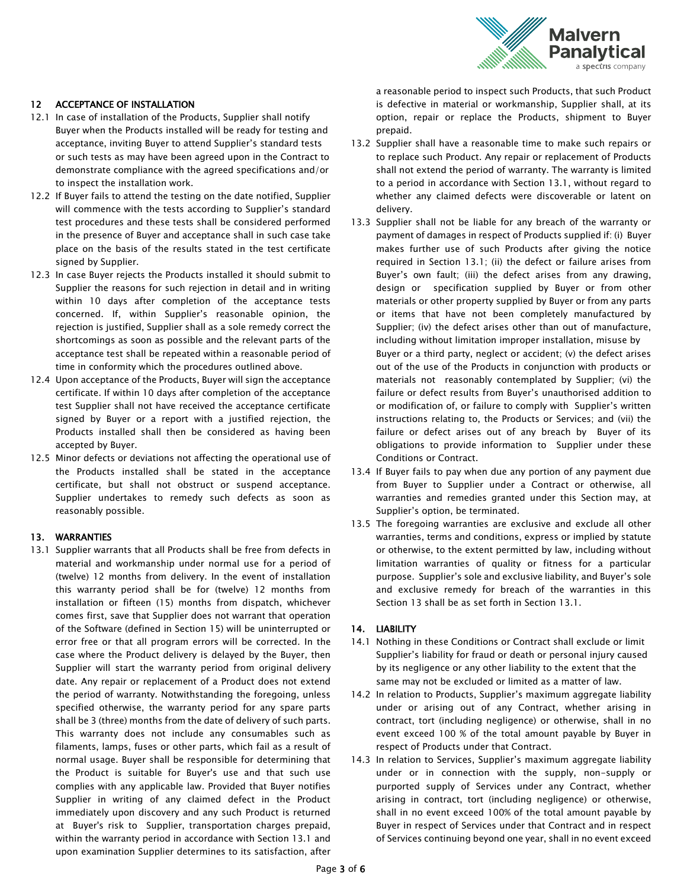

# 12 ACCEPTANCE OF INSTALLATION

- 12.1 In case of installation of the Products, Supplier shall notify Buyer when the Products installed will be ready for testing and acceptance, inviting Buyer to attend Supplier's standard tests or such tests as may have been agreed upon in the Contract to demonstrate compliance with the agreed specifications and/or to inspect the installation work.
- 12.2 If Buyer fails to attend the testing on the date notified, Supplier will commence with the tests according to Supplier's standard test procedures and these tests shall be considered performed in the presence of Buyer and acceptance shall in such case take place on the basis of the results stated in the test certificate signed by Supplier.
- 12.3 In case Buyer rejects the Products installed it should submit to Supplier the reasons for such rejection in detail and in writing within 10 days after completion of the acceptance tests concerned. If, within Supplier's reasonable opinion, the rejection is justified, Supplier shall as a sole remedy correct the shortcomings as soon as possible and the relevant parts of the acceptance test shall be repeated within a reasonable period of time in conformity which the procedures outlined above.
- 12.4 Upon acceptance of the Products, Buyer will sign the acceptance certificate. If within 10 days after completion of the acceptance test Supplier shall not have received the acceptance certificate signed by Buyer or a report with a justified rejection, the Products installed shall then be considered as having been accepted by Buyer.
- 12.5 Minor defects or deviations not affecting the operational use of the Products installed shall be stated in the acceptance certificate, but shall not obstruct or suspend acceptance. Supplier undertakes to remedy such defects as soon as reasonably possible.

#### 13. WARRANTIES

13.1 Supplier warrants that all Products shall be free from defects in material and workmanship under normal use for a period of (twelve) 12 months from delivery. In the event of installation this warranty period shall be for (twelve) 12 months from installation or fifteen (15) months from dispatch, whichever comes first, save that Supplier does not warrant that operation of the Software (defined in Section 15) will be uninterrupted or error free or that all program errors will be corrected. In the case where the Product delivery is delayed by the Buyer, then Supplier will start the warranty period from original delivery date. Any repair or replacement of a Product does not extend the period of warranty. Notwithstanding the foregoing, unless specified otherwise, the warranty period for any spare parts shall be 3 (three) months from the date of delivery of such parts. This warranty does not include any consumables such as filaments, lamps, fuses or other parts, which fail as a result of normal usage. Buyer shall be responsible for determining that the Product is suitable for Buyer's use and that such use complies with any applicable law. Provided that Buyer notifies Supplier in writing of any claimed defect in the Product immediately upon discovery and any such Product is returned at Buyer's risk to Supplier, transportation charges prepaid, within the warranty period in accordance with Section 13.1 and upon examination Supplier determines to its satisfaction, after

a reasonable period to inspect such Products, that such Product is defective in material or workmanship, Supplier shall, at its option, repair or replace the Products, shipment to Buyer prepaid.

- 13.2 Supplier shall have a reasonable time to make such repairs or to replace such Product. Any repair or replacement of Products shall not extend the period of warranty. The warranty is limited to a period in accordance with Section 13.1, without regard to whether any claimed defects were discoverable or latent on delivery.
- 13.3 Supplier shall not be liable for any breach of the warranty or payment of damages in respect of Products supplied if: (i) Buyer makes further use of such Products after giving the notice required in Section 13.1; (ii) the defect or failure arises from Buyer's own fault; (iii) the defect arises from any drawing, design or specification supplied by Buyer or from other materials or other property supplied by Buyer or from any parts or items that have not been completely manufactured by Supplier; (iv) the defect arises other than out of manufacture, including without limitation improper installation, misuse by Buyer or a third party, neglect or accident; (v) the defect arises out of the use of the Products in conjunction with products or materials not reasonably contemplated by Supplier; (vi) the failure or defect results from Buyer's unauthorised addition to or modification of, or failure to comply with Supplier's written instructions relating to, the Products or Services; and (vii) the failure or defect arises out of any breach by Buyer of its obligations to provide information to Supplier under these Conditions or Contract.
- 13.4 If Buyer fails to pay when due any portion of any payment due from Buyer to Supplier under a Contract or otherwise, all warranties and remedies granted under this Section may, at Supplier's option, be terminated.
- 13.5 The foregoing warranties are exclusive and exclude all other warranties, terms and conditions, express or implied by statute or otherwise, to the extent permitted by law, including without limitation warranties of quality or fitness for a particular purpose. Supplier's sole and exclusive liability, and Buyer's sole and exclusive remedy for breach of the warranties in this Section 13 shall be as set forth in Section 13.1.

# 14. LIABILITY

- 14.1 Nothing in these Conditions or Contract shall exclude or limit Supplier's liability for fraud or death or personal injury caused by its negligence or any other liability to the extent that the same may not be excluded or limited as a matter of law.
- 14.2 In relation to Products, Supplier's maximum aggregate liability under or arising out of any Contract, whether arising in contract, tort (including negligence) or otherwise, shall in no event exceed 100 % of the total amount payable by Buyer in respect of Products under that Contract.
- 14.3 In relation to Services, Supplier's maximum aggregate liability under or in connection with the supply, non-supply or purported supply of Services under any Contract, whether arising in contract, tort (including negligence) or otherwise, shall in no event exceed 100% of the total amount payable by Buyer in respect of Services under that Contract and in respect of Services continuing beyond one year, shall in no event exceed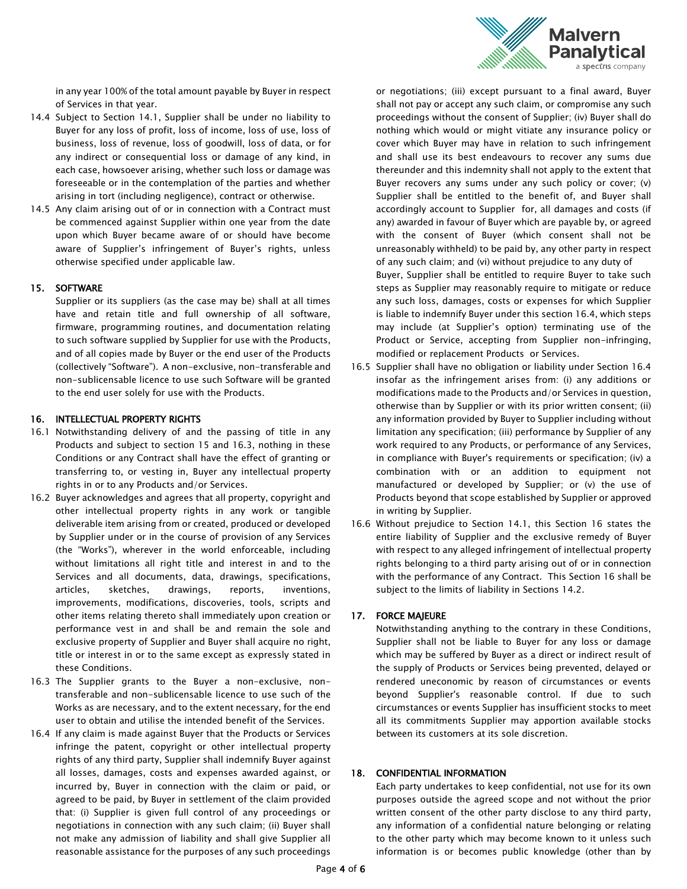

in any year 100% of the total amount payable by Buyer in respect of Services in that year.

- 14.4 Subject to Section 14.1, Supplier shall be under no liability to Buyer for any loss of profit, loss of income, loss of use, loss of business, loss of revenue, loss of goodwill, loss of data, or for any indirect or consequential loss or damage of any kind, in each case, howsoever arising, whether such loss or damage was foreseeable or in the contemplation of the parties and whether arising in tort (including negligence), contract or otherwise.
- 14.5 Any claim arising out of or in connection with a Contract must be commenced against Supplier within one year from the date upon which Buyer became aware of or should have become aware of Supplier's infringement of Buyer's rights, unless otherwise specified under applicable law.

#### 15. SOFTWARE

Supplier or its suppliers (as the case may be) shall at all times have and retain title and full ownership of all software, firmware, programming routines, and documentation relating to such software supplied by Supplier for use with the Products, and of all copies made by Buyer or the end user of the Products (collectively "Software"). A non-exclusive, non-transferable and non-sublicensable licence to use such Software will be granted to the end user solely for use with the Products.

# 16. INTELLECTUAL PROPERTY RIGHTS

- 16.1 Notwithstanding delivery of and the passing of title in any Products and subject to section 15 and 16.3, nothing in these Conditions or any Contract shall have the effect of granting or transferring to, or vesting in, Buyer any intellectual property rights in or to any Products and/or Services.
- 16.2 Buyer acknowledges and agrees that all property, copyright and other intellectual property rights in any work or tangible deliverable item arising from or created, produced or developed by Supplier under or in the course of provision of any Services (the "Works"), wherever in the world enforceable, including without limitations all right title and interest in and to the Services and all documents, data, drawings, specifications, articles, sketches, drawings, reports, inventions, improvements, modifications, discoveries, tools, scripts and other items relating thereto shall immediately upon creation or performance vest in and shall be and remain the sole and exclusive property of Supplier and Buyer shall acquire no right, title or interest in or to the same except as expressly stated in these Conditions.
- 16.3 The Supplier grants to the Buyer a non-exclusive, nontransferable and non-sublicensable licence to use such of the Works as are necessary, and to the extent necessary, for the end user to obtain and utilise the intended benefit of the Services.
- 16.4 If any claim is made against Buyer that the Products or Services infringe the patent, copyright or other intellectual property rights of any third party, Supplier shall indemnify Buyer against all losses, damages, costs and expenses awarded against, or incurred by, Buyer in connection with the claim or paid, or agreed to be paid, by Buyer in settlement of the claim provided that: (i) Supplier is given full control of any proceedings or negotiations in connection with any such claim; (ii) Buyer shall not make any admission of liability and shall give Supplier all reasonable assistance for the purposes of any such proceedings

or negotiations; (iii) except pursuant to a final award, Buyer shall not pay or accept any such claim, or compromise any such proceedings without the consent of Supplier; (iv) Buyer shall do nothing which would or might vitiate any insurance policy or cover which Buyer may have in relation to such infringement and shall use its best endeavours to recover any sums due thereunder and this indemnity shall not apply to the extent that Buyer recovers any sums under any such policy or cover; (v) Supplier shall be entitled to the benefit of, and Buyer shall accordingly account to Supplier for, all damages and costs (if any) awarded in favour of Buyer which are payable by, or agreed with the consent of Buyer (which consent shall not be unreasonably withheld) to be paid by, any other party in respect of any such claim; and (vi) without prejudice to any duty of Buyer, Supplier shall be entitled to require Buyer to take such

steps as Supplier may reasonably require to mitigate or reduce any such loss, damages, costs or expenses for which Supplier is liable to indemnify Buyer under this section 16.4, which steps may include (at Supplier's option) terminating use of the Product or Service, accepting from Supplier non-infringing, modified or replacement Products or Services.

- 16.5 Supplier shall have no obligation or liability under Section 16.4 insofar as the infringement arises from: (i) any additions or modifications made to the Products and/or Services in question, otherwise than by Supplier or with its prior written consent; (ii) any information provided by Buyer to Supplier including without limitation any specification; (iii) performance by Supplier of any work required to any Products, or performance of any Services, in compliance with Buyer's requirements or specification; (iv) a combination with or an addition to equipment not manufactured or developed by Supplier; or (v) the use of Products beyond that scope established by Supplier or approved in writing by Supplier.
- 16.6 Without prejudice to Section 14.1, this Section 16 states the entire liability of Supplier and the exclusive remedy of Buyer with respect to any alleged infringement of intellectual property rights belonging to a third party arising out of or in connection with the performance of any Contract. This Section 16 shall be subject to the limits of liability in Sections 14.2.

#### 17. FORCE MAJEURE

Notwithstanding anything to the contrary in these Conditions, Supplier shall not be liable to Buyer for any loss or damage which may be suffered by Buyer as a direct or indirect result of the supply of Products or Services being prevented, delayed or rendered uneconomic by reason of circumstances or events beyond Supplier's reasonable control. If due to such circumstances or events Supplier has insufficient stocks to meet all its commitments Supplier may apportion available stocks between its customers at its sole discretion.

#### 18. CONFIDENTIAL INFORMATION

Each party undertakes to keep confidential, not use for its own purposes outside the agreed scope and not without the prior written consent of the other party disclose to any third party, any information of a confidential nature belonging or relating to the other party which may become known to it unless such information is or becomes public knowledge (other than by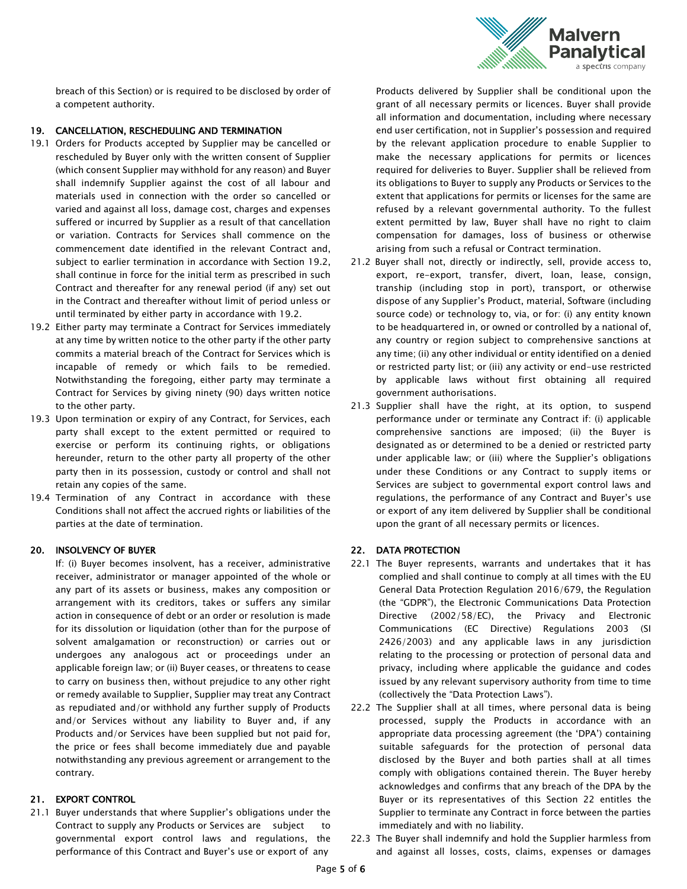

breach of this Section) or is required to be disclosed by order of a competent authority.

# 19. CANCELLATION, RESCHEDULING AND TERMINATION

- 19.1 Orders for Products accepted by Supplier may be cancelled or rescheduled by Buyer only with the written consent of Supplier (which consent Supplier may withhold for any reason) and Buyer shall indemnify Supplier against the cost of all labour and materials used in connection with the order so cancelled or varied and against all loss, damage cost, charges and expenses suffered or incurred by Supplier as a result of that cancellation or variation. Contracts for Services shall commence on the commencement date identified in the relevant Contract and, subject to earlier termination in accordance with Section 19.2, shall continue in force for the initial term as prescribed in such Contract and thereafter for any renewal period (if any) set out in the Contract and thereafter without limit of period unless or until terminated by either party in accordance with 19.2.
- 19.2 Either party may terminate a Contract for Services immediately at any time by written notice to the other party if the other party commits a material breach of the Contract for Services which is incapable of remedy or which fails to be remedied. Notwithstanding the foregoing, either party may terminate a Contract for Services by giving ninety (90) days written notice to the other party.
- 19.3 Upon termination or expiry of any Contract, for Services, each party shall except to the extent permitted or required to exercise or perform its continuing rights, or obligations hereunder, return to the other party all property of the other party then in its possession, custody or control and shall not retain any copies of the same.
- 19.4 Termination of any Contract in accordance with these Conditions shall not affect the accrued rights or liabilities of the parties at the date of termination.

#### 20. INSOLVENCY OF BUYER

If: (i) Buyer becomes insolvent, has a receiver, administrative receiver, administrator or manager appointed of the whole or any part of its assets or business, makes any composition or arrangement with its creditors, takes or suffers any similar action in consequence of debt or an order or resolution is made for its dissolution or liquidation (other than for the purpose of solvent amalgamation or reconstruction) or carries out or undergoes any analogous act or proceedings under an applicable foreign law; or (ii) Buyer ceases, or threatens to cease to carry on business then, without prejudice to any other right or remedy available to Supplier, Supplier may treat any Contract as repudiated and/or withhold any further supply of Products and/or Services without any liability to Buyer and, if any Products and/or Services have been supplied but not paid for, the price or fees shall become immediately due and payable notwithstanding any previous agreement or arrangement to the contrary.

# 21. EXPORT CONTROL

21.1 Buyer understands that where Supplier's obligations under the Contract to supply any Products or Services are subject to governmental export control laws and regulations, the performance of this Contract and Buyer's use or export of any

Products delivered by Supplier shall be conditional upon the grant of all necessary permits or licences. Buyer shall provide all information and documentation, including where necessary end user certification, not in Supplier's possession and required by the relevant application procedure to enable Supplier to make the necessary applications for permits or licences required for deliveries to Buyer. Supplier shall be relieved from its obligations to Buyer to supply any Products or Services to the extent that applications for permits or licenses for the same are refused by a relevant governmental authority. To the fullest extent permitted by law, Buyer shall have no right to claim compensation for damages, loss of business or otherwise arising from such a refusal or Contract termination.

- 21.2 Buyer shall not, directly or indirectly, sell, provide access to, export, re-export, transfer, divert, loan, lease, consign, tranship (including stop in port), transport, or otherwise dispose of any Supplier's Product, material, Software (including source code) or technology to, via, or for: (i) any entity known to be headquartered in, or owned or controlled by a national of, any country or region subject to comprehensive sanctions at any time; (ii) any other individual or entity identified on a denied or restricted party list; or (iii) any activity or end-use restricted by applicable laws without first obtaining all required government authorisations.
- 21.3 Supplier shall have the right, at its option, to suspend performance under or terminate any Contract if: (i) applicable comprehensive sanctions are imposed; (ii) the Buyer is designated as or determined to be a denied or restricted party under applicable law; or (iii) where the Supplier's obligations under these Conditions or any Contract to supply items or Services are subject to governmental export control laws and regulations, the performance of any Contract and Buyer's use or export of any item delivered by Supplier shall be conditional upon the grant of all necessary permits or licences.

# 22. DATA PROTECTION

- 22.1 The Buyer represents, warrants and undertakes that it has complied and shall continue to comply at all times with the EU General Data Protection Regulation 2016/679, the Regulation (the "GDPR"), the Electronic Communications Data Protection Directive (2002/58/EC), the Privacy and Electronic Communications (EC Directive) Regulations 2003 (SI 2426/2003) and any applicable laws in any jurisdiction relating to the processing or protection of personal data and privacy, including where applicable the guidance and codes issued by any relevant supervisory authority from time to time (collectively the "Data Protection Laws").
- 22.2 The Supplier shall at all times, where personal data is being processed, supply the Products in accordance with an appropriate data processing agreement (the 'DPA') containing suitable safeguards for the protection of personal data disclosed by the Buyer and both parties shall at all times comply with obligations contained therein. The Buyer hereby acknowledges and confirms that any breach of the DPA by the Buyer or its representatives of this Section 22 entitles the Supplier to terminate any Contract in force between the parties immediately and with no liability.
- 22.3 The Buyer shall indemnify and hold the Supplier harmless from and against all losses, costs, claims, expenses or damages